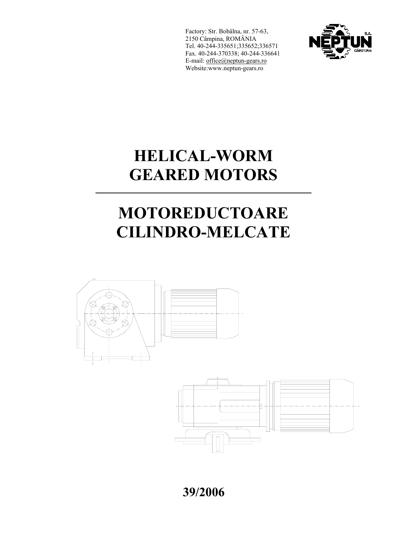Factory: Str. Bobâlna, nr. 57-63, 2150 Câmpina, ROMÂNIA Tel. 40-244-335651;335652;336571 Fax. 40-244-370338; 40-244-336641 E-mail: office@neptun-gears.ro Website:www.neptun-gears.ro

 $\overline{a}$ 



## ĺ, **HELICAL-WORM**   $\overline{a}$ **GEARED MOTORS**

# ٦ **MOTOREDUCTOARE CILINDRO-MELCATE**



**39/2006**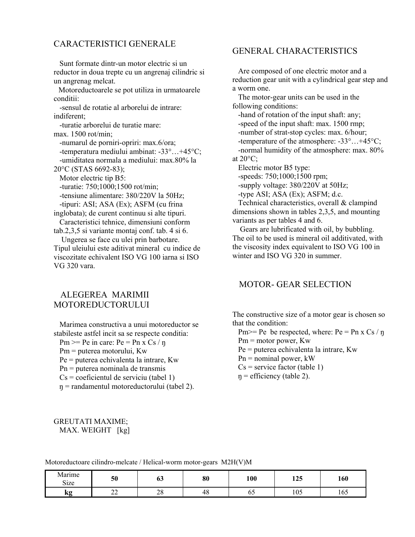### CARACTERISTICI GENERALE

 Sunt formate dintr-un motor electric si un reductor in doua trepte cu un angrenaj cilindric si un angrenag melcat.

 Motoreductoarele se pot utiliza in urmatoarele conditii:

 -sensul de rotatie al arborelui de intrare: indiferent;

 -turatie arborelui de turatie mare: max. 1500 rot/min;

 -numarul de porniri-opriri: max.6/ora; -temperatura mediului ambinat: -33°…+45°C; -umiditatea normala a mediului: max.80% la

20°C (STAS 6692-83);

 Motor electric tip B5: -turatie: 750;1000;1500 rot/min; -tensiune alimentare: 380/220V la 50Hz;

 -tipuri: ASI; ASA (Ex); ASFM (cu frina inglobata); de curent continuu si alte tipuri. Caracteristici tehnice, dimensiuni conform

tab.2,3,5 si variante montaj conf. tab. 4 si 6.

 Ungerea se face cu ulei prin barbotare. Tipul uleiului este aditivat mineral cu indice de viscozitate echivalent ISO VG 100 iarna si ISO VG 320 vara.

## ALEGEREA MARIMII **MOTOREDUCTORULUI**

 Marimea constructiva a unui motoreductor se stabileste astfel incit sa se respecte conditia: Pm  $>=$  Pe in care: Pe = Pn x Cs / n Pm = puterea motorului, Kw Pe = puterea echivalenta la intrare, Kw Pn = puterea nominala de transmis  $Cs = coefficientul$  de serviciu (tabel 1) ŋ = randamentul motoreductorului (tabel 2).

### GENERAL CHARACTERISTICS

 Are composed of one electric motor and a reduction gear unit with a cylindrical gear step and a worm one.

 The motor-gear units can be used in the following conditions:

 -hand of rotation of the input shaft: any; -speed of the input shaft: max. 1500 rmp; -number of strat-stop cycles: max. 6/hour; -temperature of the atmosphere: -33°…+45°C; -normal humidity of the atmosphere: max. 80% at  $20^{\circ}$ C:

Electric motor B5 type:

-speeds: 750;1000;1500 rpm;

-supply voltage: 380/220V at 50Hz;

-type ASI; ASA (Ex); ASFM; d.c.

 Technical characteristics, overall & clampind dimensions shown in tables 2,3,5, and mounting variants as per tables 4 and 6.

 Gears are lubrificated with oil, by bubbling. The oil to be used is mineral oil additivated, with the viscosity index equivalent to ISO VG 100 in winter and ISO VG 320 in summer.

## MOTOR- GEAR SELECTION

The constructive size of a motor gear is chosen so that the condition:

Pm $>=$  Pe be respected, where: Pe = Pn x Cs / n

Pm = motor power, Kw

Pe = puterea echivalenta la intrare, Kw

 $Pn =$  nominal power, kW

 $Cs$  = service factor (table 1)

 $\eta$  = efficiency (table 2).

#### GREUTATI MAXIME; MAX. WEIGHT [kg]

| Motoreductoare cilindro-melcate / Helical-worm motor-gears M2H(V)M |  |  |  |  |  |  |
|--------------------------------------------------------------------|--|--|--|--|--|--|
|--------------------------------------------------------------------|--|--|--|--|--|--|

| $\cdots$<br>Marıme<br>$\sim$<br>S <sub>1</sub> ze | 50                                 | UJ       | 80 | 100 | 125 | 160                  |
|---------------------------------------------------|------------------------------------|----------|----|-----|-----|----------------------|
| kg<br>$\sim$                                      | $\sim$<br>$\overline{\phantom{a}}$ | ററ<br>20 | 48 | υJ  | 105 | $\sim$ $\sim$<br>165 |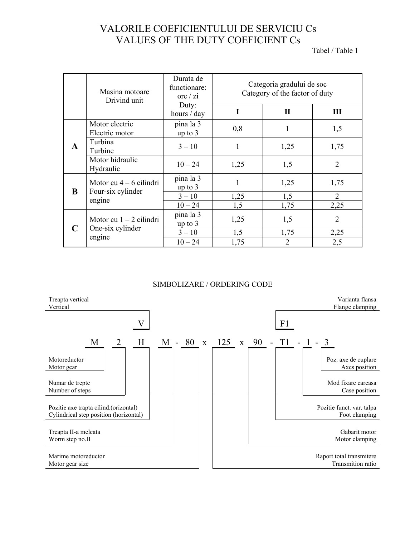# VALORILE COEFICIENTULUI DE SERVICIU Cs VALUES OF THE DUTY COEFICIENT Cs<br>Tabel / Table 1

|   | Masina motoare<br>Drivind unit   | Durata de<br>functionare:<br>ore $/$ zi | Categoria gradului de soc<br>Category of the factor of duty |              |                |  |  |  |
|---|----------------------------------|-----------------------------------------|-------------------------------------------------------------|--------------|----------------|--|--|--|
|   |                                  | Duty:<br>hours / day                    | I                                                           | $\mathbf{I}$ | Ш              |  |  |  |
|   | Motor electric<br>Electric motor | pina la 3<br>up to $3$                  | 0,8                                                         | 1            | 1,5            |  |  |  |
| A | Turbina<br>Turbine               | $3 - 10$                                | 1                                                           | 1,25         | 1,75           |  |  |  |
|   | Motor hidraulic<br>Hydraulic     | $10 - 24$                               | 1,25                                                        | 1,5          | $\overline{2}$ |  |  |  |
| B | Motor cu $4 - 6$ cilindri        | pina la 3<br>up to $3$                  |                                                             | 1,25         | 1,75           |  |  |  |
|   | Four-six cylinder<br>engine      | $3 - 10$                                | 1,25                                                        | 1,5          | 2              |  |  |  |
|   |                                  | $10 - 24$<br>pina la 3                  | 1,5                                                         | 1,75         | 2,25           |  |  |  |
|   | Motor cu $1 - 2$ cilindri        | up to $3$                               | 1,25                                                        | 1,5          | $\overline{2}$ |  |  |  |
|   | One-six cylinder<br>engine       | $3 - 10$                                | 1,5                                                         | 1,75         | 2,25           |  |  |  |
|   |                                  | $10 - 24$                               | 1,75                                                        | 2            | 2,5            |  |  |  |

### SIMBOLIZARE / ORDERING CODE

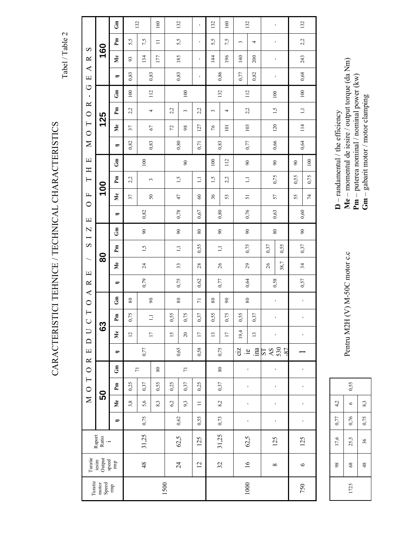Tabel / Table 2

CARACTERISTICI TEHNICE / TECHNICAL CHARACTERISTICS

 $Gn$ 132 160 132 132 160 132 132  $\mathbf{I}$  $Pm$ 5,5 5,5  $5,5$  $7,5$ 7,5  $2,2$  $\equiv$  $\sim$  $\overline{4}$  $\bar{1}$ 160  $\boldsymbol{\Omega}$  $\mathbf{M}$ e 185 134  $177\,$  $\frac{14}{4}$ 196  $140\,$  $200$ 243  $\approx$  $93$  $\blacktriangleleft$ 0,83 0,86  $0,\!68$  $0,77$  $0.82\,$ 0,83 0,83  $\overline{1}$  $\blacksquare$  $\Box$  $\circ$  $\overline{11}$  $100$ 132  $100$  $\mathbb{S}$  $112$  $\overline{0}$  $100$  $\mathbf I$  $\simeq$  $\mathbf{P}\mathbf{m}$  $1,5$  $1,\overline{1}$  $2,2$  $2,2$  $2,2$  $2,2$  $\overline{a}$  $\tilde{3}$  $\sim$  $\overline{a}$  $\circ$ 125  $\overline{\phantom{0}}$  $\mathbf{M}$ e  $114\,$ 127  $103\,$  $120\,$  $\overline{37}$  $67\,$  $\mathfrak{L}% _{G}$ 98  $\gamma_6$  $101\,$  $\circ$  $0,64$  $\overline{\mathbf{X}}$ 0,82  $_{\rm 0,80}$ 0,83  $0,77$ 0,66 0,83  $0,71$  $\overline{\phantom{0}}$  $\Box$  $Gm$  $112$  $100$  $100$  $100\,$  $_{90}$  $\infty$  $\,$  80  $\,$  80  $\mathbf{H}$ 0,75  $\mathbf{P}_{\mathbf{m}}$  $1,5$  $\Box$  $2,2$  $\Box$ 0,75 0,55  $1,5$  $2,2$  $\overline{\phantom{0}}$  $\sim$ 100  $M_{e}$  $\mathbf{L}$ 37  $47$  $36$ 55  ${\mathsf S}0$  $\mbox{\,o}$ 53  $\overline{\phantom{0}}$ 57  $\circ$  $0,78$ 0,76  $0.82$  $0,67$  $0,80$  $0,60$ 0,63  $\blacksquare$  $\Xi$  $\overline{\mathbf{N}}$  $\mathbb{S}$  $\mathfrak{g}_0$  $_{90}$  $\rm 80$  $_{90}$  $\infty$  $\rm 80$  $\infty$  $\overline{\phantom{0}}$  $\infty$ 0,55 0,75 0,55 0,37 0,37  $\mathbf{Pm}$  $1,5$  $\Box$  $\Box$  $\bf{80}$ 38,7  $\mathbf{M}\mathbf{e}$  $24\,$ 33  $26$ 29  $26$  $28$  $34$  $\mathbf \Xi$ 0,79 0,75  $0,62$  $0,77$ 0,64  $0,58$  $0,57$  $\simeq$  $\overline{\phantom{0}}$  $\blacktriangle$  $\tilde{\mathbb{S}}$  $\infty$  $\rm 80$  $\infty$  $80\,$  $\rm 80$  $\rm 80$  $\circ$  $\overline{r}$  $\mathbf{r}$  $\overline{\phantom{0}}$ 0,37 0,37 0,75 0,55 0,75  $0,75$  $\mathbf{P}$  $\Box$  $0,55$ 0,55  $\cup$ 63  $\Box$  $\mathbb{M}^{\mathrm{e}}$  $19,4$  $\overline{15}$  $\overline{17}$  $\overline{a}$  $\overline{\phantom{0}}$  $20\,$  $\overline{17}$  $\overline{13}$  $\overline{\mathbf{c}}$ l,  $\Box$ AS<br>530<br>-87  $0,77$ 0,65  $0,75$  $0,58$  $\cdot \frac{1}{2}$  .  $\frac{1}{2}$  .  $\frac{1}{2}$  $\Box$  $1S$  $\blacksquare$  $\approx$  $\mathbb{S}$  $\circ$  $\rm 80$  $\rm 80$  $\overline{7}$  $\overline{7}$  $\overline{1}$ l,  $\overline{\phantom{0}}$  $0,25$ 0,37  $0,25$ 0,37  $\mathbf{Pm}$  $0,25$ 0,37 0,55  $\bar{1}$  $\circ$ ï SO  $\geq$  $\mathbf{M}\mathbf{e}$  $5,6$  $8,3$  $8,2$  $3,8$  $6,2$  $9<sub>3</sub>$  $\equiv$  $\bar{\textbf{r}}$  $\bar{\phantom{a}}$  $\bar{1}$ 0,75 0,55 0,73  $0,62$  $\blacksquare$  $\mathbf{r}$  $31,25$ Raport<br>Ratio 31,25  $62,5$  $62,5$ 125 125 125  $\ddot{ }$  $\begin{array}{c} \mathrm{icsire}\\ \mathrm{Output}\\ \mathrm{speed}\\ \mathrm{speed}\\ \mathrm{tmp}\\ \end{array}$ **Turatie** 48  $\overline{16}$  $12$  $24$  $32$  $\infty$  $\circ$  $\begin{array}{l} \text{Turatie} \\ \text{motor} \\ \text{Speed} \\ \text{mped} \\ \end{array}$ 1500 1000 750

Pentru M2H (V) M-50C motor c.c

Me - momentul de iesire / output torque (da Nm)  $D$  – randamentul / the efficiency

 $\mathbf{Pm}$  – puterea nominal / nominal power (kw)

 $Gm -$  gabarit motor / motor clamping

 $0,55$  $4,2$  $8,3$  $\circ$  $0,77$ 0,76 0,75 17,6  $25,5$  $36$ 98  $\sqrt{8}$  $48$ 1725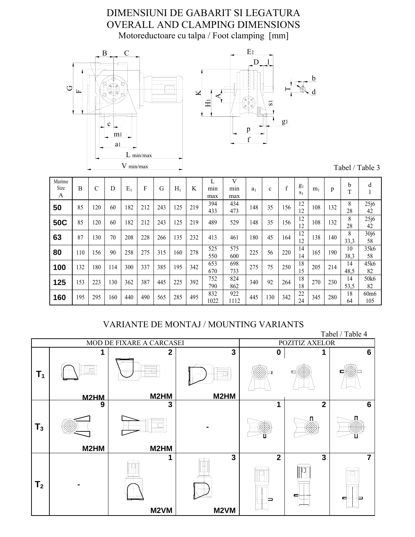# DIMENSIUNI DE GABARIT SI LEGATURA OVERALL AND CLAMPING DIMENSIONS Motoreductoare cu talpa / Foot clamping [mm]





Tabel / Table 3

| Marime<br>Size<br>A | B   | C   | D   | $E_1$ | F   | G   | $H_1$ | K   | min<br>max  | V<br>min<br>max | a <sub>1</sub> | c   |     | g <sub>1</sub><br>S <sub>1</sub> | m <sub>1</sub> | p   | b<br>m     | d                      |
|---------------------|-----|-----|-----|-------|-----|-----|-------|-----|-------------|-----------------|----------------|-----|-----|----------------------------------|----------------|-----|------------|------------------------|
| 50                  | 85  | 120 | 60  | 182   | 212 | 243 | 125   | 219 | 394<br>433  | 434<br>473      | 148            | 35  | 156 | 12<br>12                         | 108            | 132 | 8<br>28    | 25j6<br>42             |
| 50C                 | 85  | 120 | 60  | 182   | 212 | 243 | 125   | 219 | 489         | 529             | 148            | 35  | 156 | 12<br>12                         | 108            | 132 | 8<br>28    | 25j6<br>42             |
| 63                  | 87  | 130 | 70  | 208   | 228 | 266 | 135   | 232 | 413         | 461             | 180            | 45  | 164 | 12<br>12                         | 138            | 140 | 8<br>33,3  | 30j6<br>58             |
| 80                  | 110 | 156 | 90  | 258   | 275 | 315 | 160   | 278 | 525<br>550  | 575<br>600      | 225            | 56  | 220 | 14<br>14                         | 165            | 190 | 10<br>38,3 | 35k6<br>58             |
| 100                 | 132 | 180 | 114 | 300   | 337 | 385 | 195   | 342 | 653<br>670  | 698<br>733      | 275            | 75  | 250 | 18<br>15                         | 205            | 214 | 14<br>48,5 | 45k6<br>82             |
| 125                 | 153 | 223 | 130 | 362   | 387 | 445 | 225   | 392 | 752<br>790  | 824<br>862      | 340            | 92  | 264 | 18<br>18                         | 270            | 230 | 14<br>53,5 | 50k6<br>82             |
| 160                 | 195 | 295 | 160 | 440   | 490 | 565 | 285   | 495 | 832<br>1022 | 922<br>1112     | 445            | 130 | 342 | 22<br>24                         | 345            | 280 | 18<br>64   | 60 <sub>m</sub><br>105 |

## VARIANTE DE MONTAJ / MOUNTING VARIANTS

 Tabel / Table 4 MOD DE FIXARE A CARCASEI POZITIZ AXELOR **T1 1 M2HM 2 M2HM 3 M2HM 0 1 6 T3 9 M2HM 3 M2HM - 1 2 6**  $T_2$ **1 M2VM 3 M2VM 2 1** 3 **1 7**